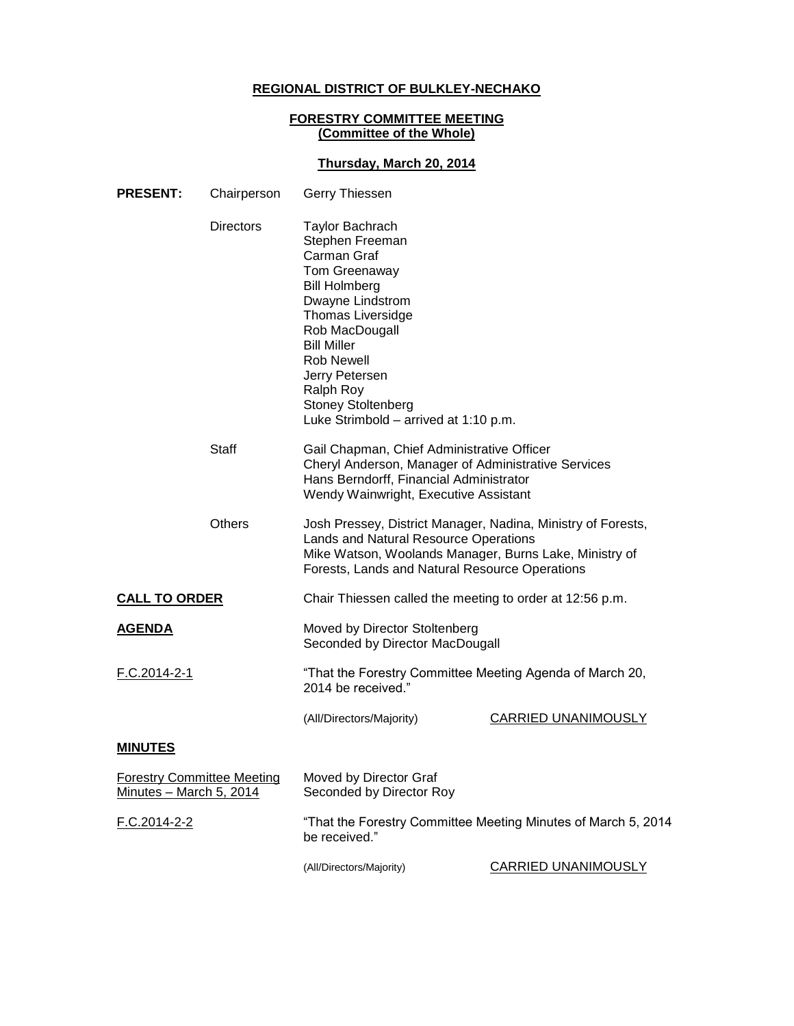# **REGIONAL DISTRICT OF BULKLEY-NECHAKO**

#### **FORESTRY COMMITTEE MEETING (Committee of the Whole)**

### **Thursday, March 20, 2014**

| <b>PRESENT:</b>                                              | Chairperson      | Gerry Thiessen                                                                                                                                                                                                                                                                                                      |                            |
|--------------------------------------------------------------|------------------|---------------------------------------------------------------------------------------------------------------------------------------------------------------------------------------------------------------------------------------------------------------------------------------------------------------------|----------------------------|
|                                                              | <b>Directors</b> | <b>Taylor Bachrach</b><br>Stephen Freeman<br>Carman Graf<br>Tom Greenaway<br><b>Bill Holmberg</b><br>Dwayne Lindstrom<br><b>Thomas Liversidge</b><br>Rob MacDougall<br><b>Bill Miller</b><br><b>Rob Newell</b><br>Jerry Petersen<br>Ralph Roy<br><b>Stoney Stoltenberg</b><br>Luke Strimbold - arrived at 1:10 p.m. |                            |
|                                                              | <b>Staff</b>     | Gail Chapman, Chief Administrative Officer<br>Cheryl Anderson, Manager of Administrative Services<br>Hans Berndorff, Financial Administrator<br>Wendy Wainwright, Executive Assistant                                                                                                                               |                            |
|                                                              | <b>Others</b>    | Josh Pressey, District Manager, Nadina, Ministry of Forests,<br>Lands and Natural Resource Operations<br>Mike Watson, Woolands Manager, Burns Lake, Ministry of<br>Forests, Lands and Natural Resource Operations                                                                                                   |                            |
| <b>CALL TO ORDER</b>                                         |                  | Chair Thiessen called the meeting to order at 12:56 p.m.                                                                                                                                                                                                                                                            |                            |
| <u>AGENDA</u>                                                |                  | Moved by Director Stoltenberg<br>Seconded by Director MacDougall                                                                                                                                                                                                                                                    |                            |
| F.C.2014-2-1                                                 |                  | "That the Forestry Committee Meeting Agenda of March 20,<br>2014 be received."                                                                                                                                                                                                                                      |                            |
|                                                              |                  | (All/Directors/Majority)                                                                                                                                                                                                                                                                                            | <b>CARRIED UNANIMOUSLY</b> |
| <b>MINUTES</b>                                               |                  |                                                                                                                                                                                                                                                                                                                     |                            |
| <b>Forestry Committee Meeting</b><br>Minutes - March 5, 2014 |                  | Moved by Director Graf<br>Seconded by Director Roy                                                                                                                                                                                                                                                                  |                            |
| F.C.2014-2-2                                                 |                  | "That the Forestry Committee Meeting Minutes of March 5, 2014<br>be received."                                                                                                                                                                                                                                      |                            |
|                                                              |                  | (All/Directors/Majority)                                                                                                                                                                                                                                                                                            | <b>CARRIED UNANIMOUSLY</b> |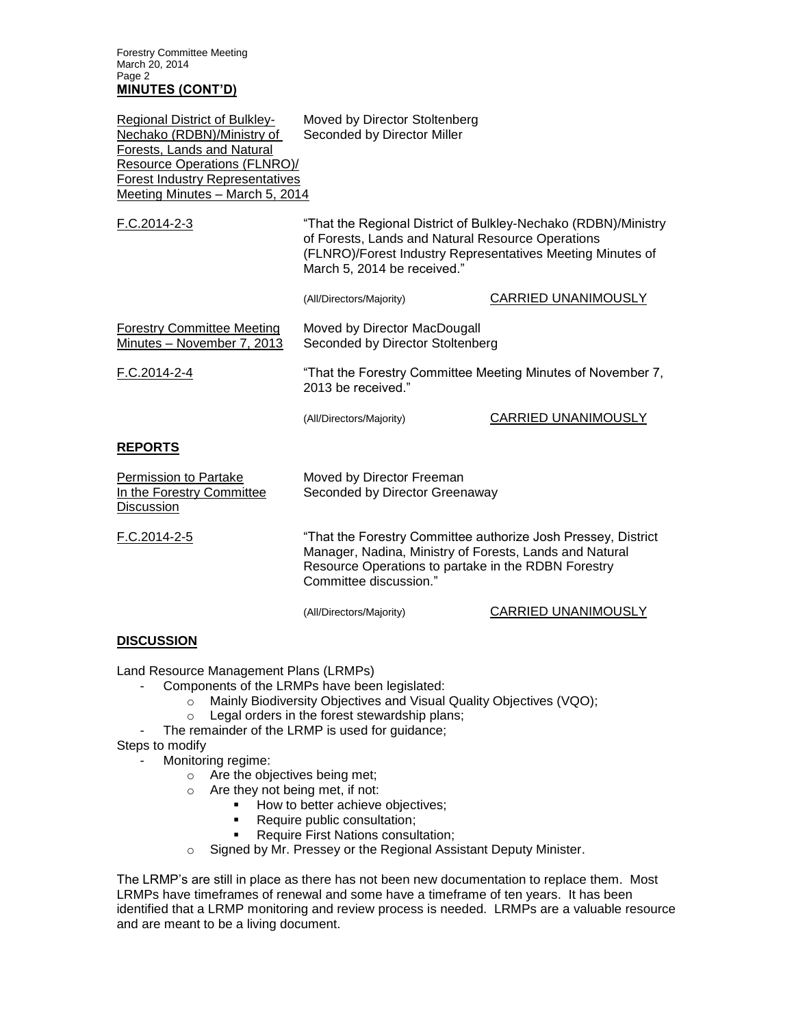Forestry Committee Meeting March 20, 2014 Page 2 **MINUTES (CONT'D)**

| Regional District of Bulkley-<br>Nechako (RDBN)/Ministry of<br>Forests, Lands and Natural<br><b>Resource Operations (FLNRO)/</b><br><b>Forest Industry Representatives</b><br>Meeting Minutes - March 5, 2014 | Moved by Director Stoltenberg<br>Seconded by Director Miller                                                                                                                                                     |                            |
|---------------------------------------------------------------------------------------------------------------------------------------------------------------------------------------------------------------|------------------------------------------------------------------------------------------------------------------------------------------------------------------------------------------------------------------|----------------------------|
| F.C.2014-2-3                                                                                                                                                                                                  | "That the Regional District of Bulkley-Nechako (RDBN)/Ministry<br>of Forests, Lands and Natural Resource Operations<br>(FLNRO)/Forest Industry Representatives Meeting Minutes of<br>March 5, 2014 be received." |                            |
|                                                                                                                                                                                                               | (All/Directors/Majority)                                                                                                                                                                                         | CARRIED UNANIMOUSLY        |
| <b>Forestry Committee Meeting</b><br>Minutes - November 7, 2013                                                                                                                                               | Moved by Director MacDougall<br>Seconded by Director Stoltenberg                                                                                                                                                 |                            |
| F.C.2014-2-4                                                                                                                                                                                                  | "That the Forestry Committee Meeting Minutes of November 7,<br>2013 be received."                                                                                                                                |                            |
|                                                                                                                                                                                                               | (All/Directors/Majority)                                                                                                                                                                                         | <b>CARRIED UNANIMOUSLY</b> |
| <b>REPORTS</b>                                                                                                                                                                                                |                                                                                                                                                                                                                  |                            |
| Permission to Partake<br>In the Forestry Committee<br><b>Discussion</b>                                                                                                                                       | Moved by Director Freeman<br>Seconded by Director Greenaway                                                                                                                                                      |                            |
| F.C.2014-2-5                                                                                                                                                                                                  | "That the Forestry Committee authorize Josh Pressey, District<br>Manager, Nadina, Ministry of Forests, Lands and Natural<br>Resource Operations to partake in the RDBN Forestry<br>Committee discussion."        |                            |
|                                                                                                                                                                                                               | (All/Directors/Majority)                                                                                                                                                                                         | CARRIED UNANIMOUSLY        |
| <b>DISCUSSION</b>                                                                                                                                                                                             |                                                                                                                                                                                                                  |                            |

Land Resource Management Plans (LRMPs)

- Components of the LRMPs have been legislated:
	- o Mainly Biodiversity Objectives and Visual Quality Objectives (VQO);
	- o Legal orders in the forest stewardship plans;
- The remainder of the LRMP is used for guidance;

## Steps to modify

- Monitoring regime:
	- o Are the objectives being met;
	- o Are they not being met, if not:
		- How to better achieve objectives;
		- Require public consultation;
		- **Require First Nations consultation;**
	- o Signed by Mr. Pressey or the Regional Assistant Deputy Minister.

The LRMP's are still in place as there has not been new documentation to replace them. Most LRMPs have timeframes of renewal and some have a timeframe of ten years. It has been identified that a LRMP monitoring and review process is needed. LRMPs are a valuable resource and are meant to be a living document.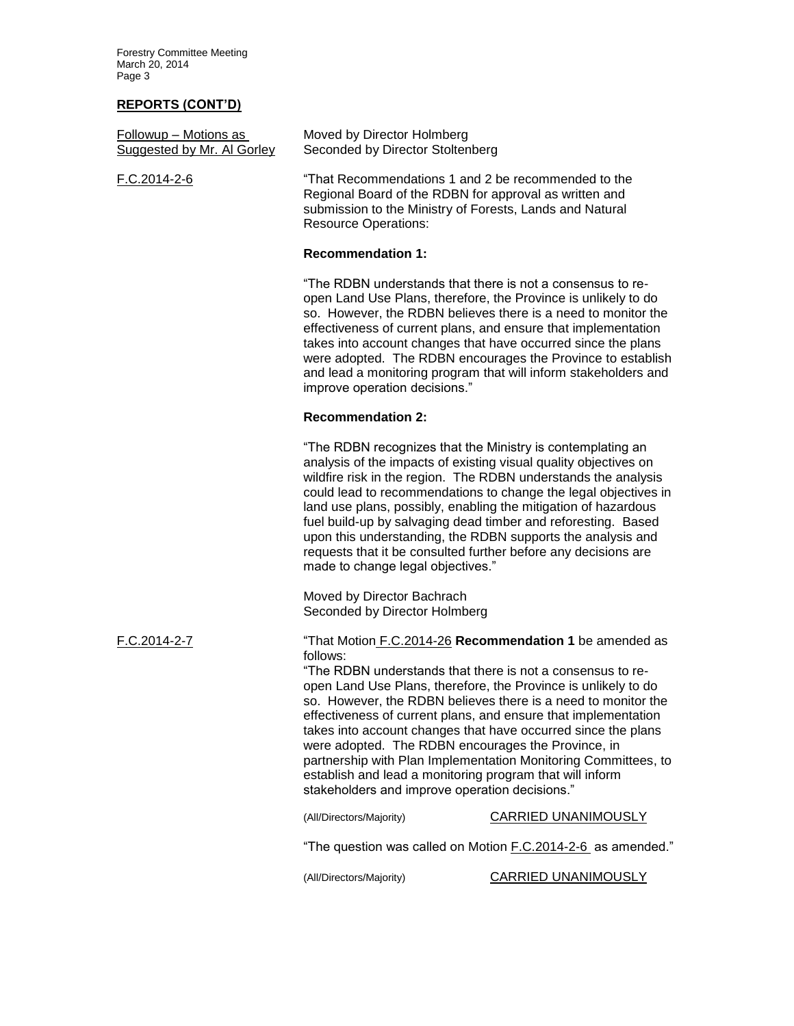Forestry Committee Meeting March 20, 2014 Page 3

# **REPORTS (CONT'D)**

| Followup - Motions as<br>Suggested by Mr. Al Gorley | Moved by Director Holmberg<br>Seconded by Director Stoltenberg                                                                                                                                                                                                                                                                                                                                                                                                                                                                                                                                                                                                                                                                                                          |                                                                                                                                                                                                                                                                                                                                    |
|-----------------------------------------------------|-------------------------------------------------------------------------------------------------------------------------------------------------------------------------------------------------------------------------------------------------------------------------------------------------------------------------------------------------------------------------------------------------------------------------------------------------------------------------------------------------------------------------------------------------------------------------------------------------------------------------------------------------------------------------------------------------------------------------------------------------------------------------|------------------------------------------------------------------------------------------------------------------------------------------------------------------------------------------------------------------------------------------------------------------------------------------------------------------------------------|
| F.C.2014-2-6                                        | "That Recommendations 1 and 2 be recommended to the<br>Regional Board of the RDBN for approval as written and<br>submission to the Ministry of Forests, Lands and Natural<br><b>Resource Operations:</b>                                                                                                                                                                                                                                                                                                                                                                                                                                                                                                                                                                |                                                                                                                                                                                                                                                                                                                                    |
|                                                     | <b>Recommendation 1:</b>                                                                                                                                                                                                                                                                                                                                                                                                                                                                                                                                                                                                                                                                                                                                                |                                                                                                                                                                                                                                                                                                                                    |
|                                                     | "The RDBN understands that there is not a consensus to re-<br>open Land Use Plans, therefore, the Province is unlikely to do<br>improve operation decisions."                                                                                                                                                                                                                                                                                                                                                                                                                                                                                                                                                                                                           | so. However, the RDBN believes there is a need to monitor the<br>effectiveness of current plans, and ensure that implementation<br>takes into account changes that have occurred since the plans<br>were adopted. The RDBN encourages the Province to establish<br>and lead a monitoring program that will inform stakeholders and |
|                                                     | <b>Recommendation 2:</b>                                                                                                                                                                                                                                                                                                                                                                                                                                                                                                                                                                                                                                                                                                                                                |                                                                                                                                                                                                                                                                                                                                    |
|                                                     | "The RDBN recognizes that the Ministry is contemplating an<br>analysis of the impacts of existing visual quality objectives on<br>land use plans, possibly, enabling the mitigation of hazardous<br>fuel build-up by salvaging dead timber and reforesting. Based<br>upon this understanding, the RDBN supports the analysis and<br>requests that it be consulted further before any decisions are<br>made to change legal objectives."                                                                                                                                                                                                                                                                                                                                 | wildfire risk in the region. The RDBN understands the analysis<br>could lead to recommendations to change the legal objectives in                                                                                                                                                                                                  |
|                                                     | Moved by Director Bachrach<br>Seconded by Director Holmberg                                                                                                                                                                                                                                                                                                                                                                                                                                                                                                                                                                                                                                                                                                             |                                                                                                                                                                                                                                                                                                                                    |
| F.C.2014-2-7                                        | "That Motion F.C.2014-26 Recommendation 1 be amended as<br>follows:<br>"The RDBN understands that there is not a consensus to re-<br>open Land Use Plans, therefore, the Province is unlikely to do<br>so. However, the RDBN believes there is a need to monitor the<br>effectiveness of current plans, and ensure that implementation<br>takes into account changes that have occurred since the plans<br>were adopted. The RDBN encourages the Province, in<br>partnership with Plan Implementation Monitoring Committees, to<br>establish and lead a monitoring program that will inform<br>stakeholders and improve operation decisions."<br><b>CARRIED UNANIMOUSLY</b><br>(All/Directors/Majority)<br>"The question was called on Motion F.C.2014-2-6 as amended." |                                                                                                                                                                                                                                                                                                                                    |
|                                                     | (All/Directors/Majority)                                                                                                                                                                                                                                                                                                                                                                                                                                                                                                                                                                                                                                                                                                                                                | CARRIED UNANIMOUSLY                                                                                                                                                                                                                                                                                                                |
|                                                     |                                                                                                                                                                                                                                                                                                                                                                                                                                                                                                                                                                                                                                                                                                                                                                         |                                                                                                                                                                                                                                                                                                                                    |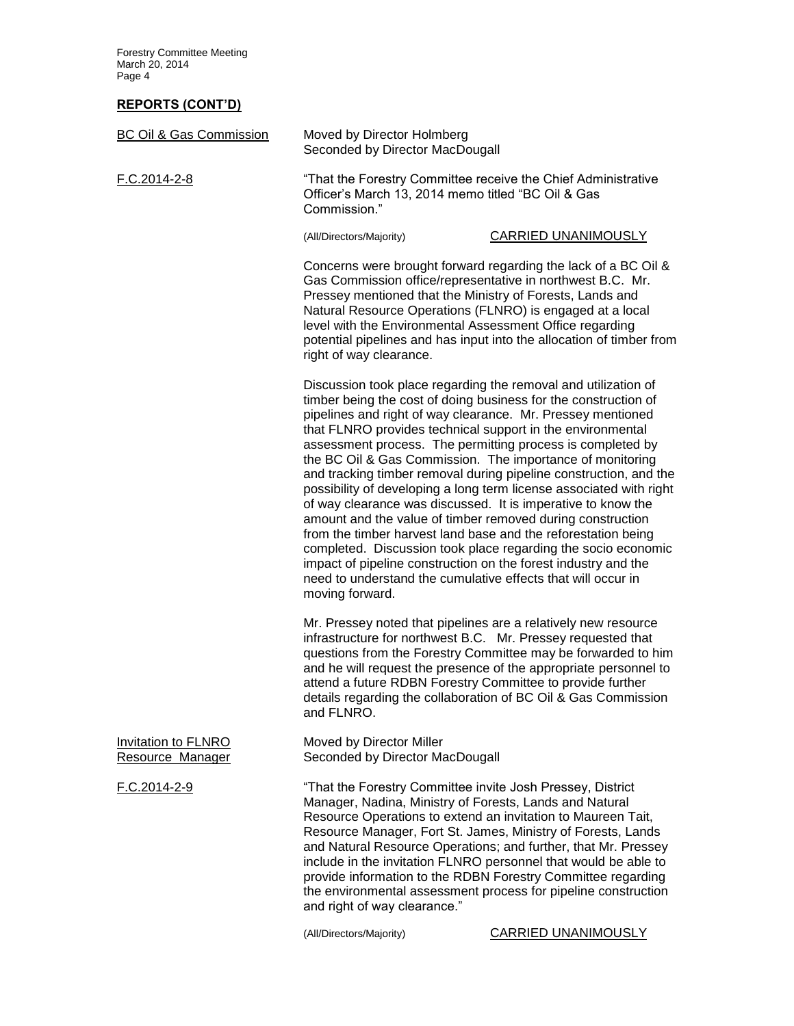Forestry Committee Meeting March 20, 2014 Page 4

#### **REPORTS (CONT'D)**

| <b>BC Oil &amp; Gas Commission</b>             | Moved by Director Holmberg<br>Seconded by Director MacDougall                                                                                                                                                                                                                                                                                                                                                                                                                                                                                                                                                                                                                                                                                                                                                                                                                                                                                              |                                                                                                                                                                                                                                                                     |
|------------------------------------------------|------------------------------------------------------------------------------------------------------------------------------------------------------------------------------------------------------------------------------------------------------------------------------------------------------------------------------------------------------------------------------------------------------------------------------------------------------------------------------------------------------------------------------------------------------------------------------------------------------------------------------------------------------------------------------------------------------------------------------------------------------------------------------------------------------------------------------------------------------------------------------------------------------------------------------------------------------------|---------------------------------------------------------------------------------------------------------------------------------------------------------------------------------------------------------------------------------------------------------------------|
| F.C.2014-2-8                                   | "That the Forestry Committee receive the Chief Administrative<br>Officer's March 13, 2014 memo titled "BC Oil & Gas<br>Commission."                                                                                                                                                                                                                                                                                                                                                                                                                                                                                                                                                                                                                                                                                                                                                                                                                        |                                                                                                                                                                                                                                                                     |
|                                                | (All/Directors/Majority)                                                                                                                                                                                                                                                                                                                                                                                                                                                                                                                                                                                                                                                                                                                                                                                                                                                                                                                                   | CARRIED UNANIMOUSLY                                                                                                                                                                                                                                                 |
|                                                | Concerns were brought forward regarding the lack of a BC Oil &<br>Gas Commission office/representative in northwest B.C. Mr.<br>Pressey mentioned that the Ministry of Forests, Lands and<br>Natural Resource Operations (FLNRO) is engaged at a local<br>level with the Environmental Assessment Office regarding<br>potential pipelines and has input into the allocation of timber from<br>right of way clearance.                                                                                                                                                                                                                                                                                                                                                                                                                                                                                                                                      |                                                                                                                                                                                                                                                                     |
|                                                | Discussion took place regarding the removal and utilization of<br>timber being the cost of doing business for the construction of<br>pipelines and right of way clearance. Mr. Pressey mentioned<br>that FLNRO provides technical support in the environmental<br>assessment process. The permitting process is completed by<br>the BC Oil & Gas Commission. The importance of monitoring<br>and tracking timber removal during pipeline construction, and the<br>possibility of developing a long term license associated with right<br>of way clearance was discussed. It is imperative to know the<br>amount and the value of timber removed during construction<br>from the timber harvest land base and the reforestation being<br>completed. Discussion took place regarding the socio economic<br>impact of pipeline construction on the forest industry and the<br>need to understand the cumulative effects that will occur in<br>moving forward. |                                                                                                                                                                                                                                                                     |
|                                                | Mr. Pressey noted that pipelines are a relatively new resource<br>infrastructure for northwest B.C. Mr. Pressey requested that<br>questions from the Forestry Committee may be forwarded to him<br>and he will request the presence of the appropriate personnel to<br>attend a future RDBN Forestry Committee to provide further<br>details regarding the collaboration of BC Oil & Gas Commission<br>and FLNRO.                                                                                                                                                                                                                                                                                                                                                                                                                                                                                                                                          |                                                                                                                                                                                                                                                                     |
| <b>Invitation to FLNRO</b><br>Resource Manager | Moved by Director Miller<br>Seconded by Director MacDougall                                                                                                                                                                                                                                                                                                                                                                                                                                                                                                                                                                                                                                                                                                                                                                                                                                                                                                |                                                                                                                                                                                                                                                                     |
| F.C.2014-2-9                                   | "That the Forestry Committee invite Josh Pressey, District<br>Manager, Nadina, Ministry of Forests, Lands and Natural<br>Resource Operations to extend an invitation to Maureen Tait,<br>Resource Manager, Fort St. James, Ministry of Forests, Lands<br>and right of way clearance."                                                                                                                                                                                                                                                                                                                                                                                                                                                                                                                                                                                                                                                                      | and Natural Resource Operations; and further, that Mr. Pressey<br>include in the invitation FLNRO personnel that would be able to<br>provide information to the RDBN Forestry Committee regarding<br>the environmental assessment process for pipeline construction |
|                                                |                                                                                                                                                                                                                                                                                                                                                                                                                                                                                                                                                                                                                                                                                                                                                                                                                                                                                                                                                            |                                                                                                                                                                                                                                                                     |

(All/Directors/Majority) CARRIED UNANIMOUSLY